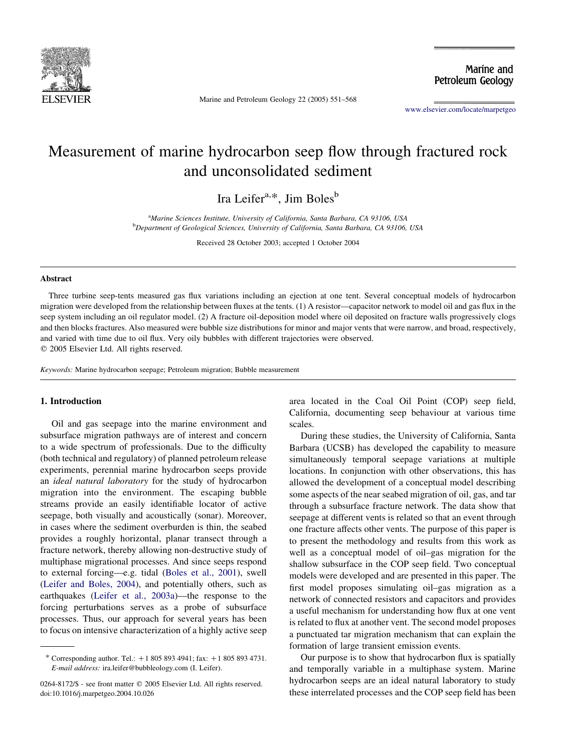

Marine and Petroleum Geology 22 (2005) 551–568

Marine and Petroleum Geology

[www.elsevier.com/locate/marpetgeo](http://www.elsevier.com/locate/marpetgeo)

# Measurement of marine hydrocarbon seep flow through fractured rock and unconsolidated sediment

Ira Leifer<sup>a,\*</sup>, Jim Boles<sup>b</sup>

<sup>a</sup>Marine Sciences Institute, University of California, Santa Barbara, CA 93106, USA **b**<br>Department of Geological Sciences, University of California, Santa Barbara, CA 93106, USA

Received 28 October 2003; accepted 1 October 2004

#### Abstract

Three turbine seep-tents measured gas flux variations including an ejection at one tent. Several conceptual models of hydrocarbon migration were developed from the relationship between fluxes at the tents. (1) A resistor—capacitor network to model oil and gas flux in the seep system including an oil regulator model. (2) A fracture oil-deposition model where oil deposited on fracture walls progressively clogs and then blocks fractures. Also measured were bubble size distributions for minor and major vents that were narrow, and broad, respectively, and varied with time due to oil flux. Very oily bubbles with different trajectories were observed.  $©$  2005 Elsevier Ltd. All rights reserved.

Keywords: Marine hydrocarbon seepage; Petroleum migration; Bubble measurement

# 1. Introduction

Oil and gas seepage into the marine environment and subsurface migration pathways are of interest and concern to a wide spectrum of professionals. Due to the difficulty (both technical and regulatory) of planned petroleum release experiments, perennial marine hydrocarbon seeps provide an ideal natural laboratory for the study of hydrocarbon migration into the environment. The escaping bubble streams provide an easily identifiable locator of active seepage, both visually and acoustically (sonar). Moreover, in cases where the sediment overburden is thin, the seabed provides a roughly horizontal, planar transect through a fracture network, thereby allowing non-destructive study of multiphase migrational processes. And since seeps respond to external forcing—e.g. tidal ([Boles et al., 2001](#page-16-0)), swell ([Leifer and Boles, 2004](#page-16-0)), and potentially others, such as earthquakes [\(Leifer et al., 2003a](#page-16-0))—the response to the forcing perturbations serves as a probe of subsurface processes. Thus, our approach for several years has been to focus on intensive characterization of a highly active seep

area located in the Coal Oil Point (COP) seep field, California, documenting seep behaviour at various time scales.

During these studies, the University of California, Santa Barbara (UCSB) has developed the capability to measure simultaneously temporal seepage variations at multiple locations. In conjunction with other observations, this has allowed the development of a conceptual model describing some aspects of the near seabed migration of oil, gas, and tar through a subsurface fracture network. The data show that seepage at different vents is related so that an event through one fracture affects other vents. The purpose of this paper is to present the methodology and results from this work as well as a conceptual model of oil–gas migration for the shallow subsurface in the COP seep field. Two conceptual models were developed and are presented in this paper. The first model proposes simulating oil–gas migration as a network of connected resistors and capacitors and provides a useful mechanism for understanding how flux at one vent is related to flux at another vent. The second model proposes a punctuated tar migration mechanism that can explain the formation of large transient emission events.

Our purpose is to show that hydrocarbon flux is spatially and temporally variable in a multiphase system. Marine hydrocarbon seeps are an ideal natural laboratory to study these interrelated processes and the COP seep field has been

<sup>\*</sup> Corresponding author. Tel.:  $+18058934941$ ; fax:  $+18058934731$ . E-mail address: ira.leifer@bubbleology.com (I. Leifer).

<sup>0264-8172/\$ -</sup> see front matter © 2005 Elsevier Ltd. All rights reserved. doi:10.1016/j.marpetgeo.2004.10.026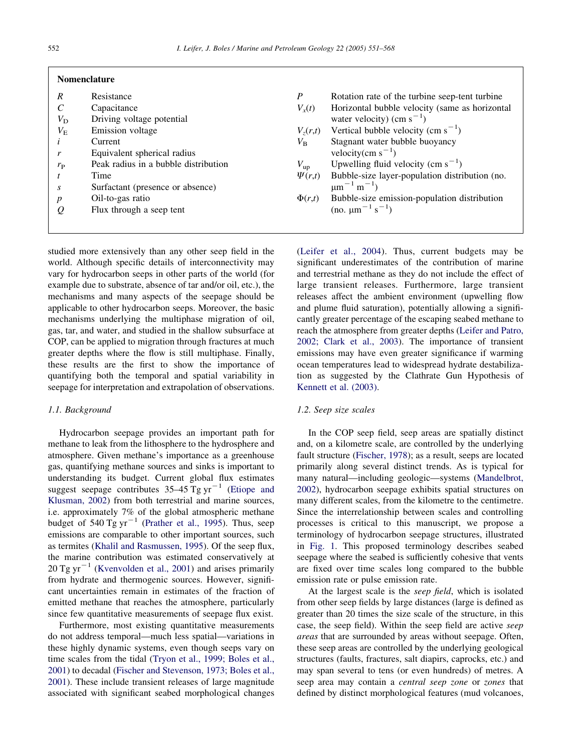| R           | Resistance                           | P            | Rotation rate of the turbine seep-tent turbine |
|-------------|--------------------------------------|--------------|------------------------------------------------|
|             | Capacitance                          | $V_{x}(t)$   | Horizontal bubble velocity (same as horizontal |
| $V_{\rm D}$ | Driving voltage potential            |              | water velocity) (cm $s^{-1}$ )                 |
| $V_{\rm E}$ | Emission voltage                     | $V_z(r,t)$   | Vertical bubble velocity (cm $s^{-1}$ )        |
|             | Current                              | $V_{\rm B}$  | Stagnant water bubble buoyancy                 |
|             | Equivalent spherical radius          |              | velocity(cm $s^{-1}$ )                         |
| $r_{\rm P}$ | Peak radius in a bubble distribution | $V_{\rm up}$ | Upwelling fluid velocity (cm $s^{-1}$ )        |
|             | Time                                 | $\Psi(r,t)$  | Bubble-size layer-population distribution (no. |
| S           | Surfactant (presence or absence)     |              | $\mu$ m <sup>-1</sup> m <sup>-1</sup> )        |
|             | Oil-to-gas ratio                     | $\Phi(r,t)$  | Bubble-size emission-population distribution   |
| $\varrho$   | Flux through a seep tent             |              | $(no. \mu m^{-1} s^{-1})$                      |

studied more extensively than any other seep field in the world. Although specific details of interconnectivity may vary for hydrocarbon seeps in other parts of the world (for example due to substrate, absence of tar and/or oil, etc.), the mechanisms and many aspects of the seepage should be applicable to other hydrocarbon seeps. Moreover, the basic mechanisms underlying the multiphase migration of oil, gas, tar, and water, and studied in the shallow subsurface at COP, can be applied to migration through fractures at much greater depths where the flow is still multiphase. Finally, these results are the first to show the importance of quantifying both the temporal and spatial variability in seepage for interpretation and extrapolation of observations.

# 1.1. Background

Hydrocarbon seepage provides an important path for methane to leak from the lithosphere to the hydrosphere and atmosphere. Given methane's importance as a greenhouse gas, quantifying methane sources and sinks is important to understanding its budget. Current global flux estimates suggest seepage contributes  $35-45$  Tg yr<sup>-1</sup> [\(Etiope and](#page-16-0) [Klusman, 2002\)](#page-16-0) from both terrestrial and marine sources, i.e. approximately 7% of the global atmospheric methane budget of 540 Tg yr<sup>-1</sup> [\(Prather et al., 1995\)](#page-17-0). Thus, seep emissions are comparable to other important sources, such as termites ([Khalil and Rasmussen, 1995\)](#page-16-0). Of the seep flux, the marine contribution was estimated conservatively at 20 Tg yr<sup> $-1$ </sup> ([Kvenvolden et al., 2001\)](#page-16-0) and arises primarily from hydrate and thermogenic sources. However, significant uncertainties remain in estimates of the fraction of emitted methane that reaches the atmosphere, particularly since few quantitative measurements of seepage flux exist.

Furthermore, most existing quantitative measurements do not address temporal—much less spatial—variations in these highly dynamic systems, even though seeps vary on time scales from the tidal [\(Tryon et al., 1999; Boles et al.,](#page-17-0) [2001\)](#page-17-0) to decadal ([Fischer and Stevenson, 1973; Boles et al.,](#page-16-0) [2001\)](#page-16-0). These include transient releases of large magnitude associated with significant seabed morphological changes ([Leifer et al., 2004\)](#page-16-0). Thus, current budgets may be significant underestimates of the contribution of marine and terrestrial methane as they do not include the effect of large transient releases. Furthermore, large transient releases affect the ambient environment (upwelling flow and plume fluid saturation), potentially allowing a significantly greater percentage of the escaping seabed methane to reach the atmosphere from greater depths [\(Leifer and Patro,](#page-16-0) [2002; Clark et al., 2003\)](#page-16-0). The importance of transient emissions may have even greater significance if warming ocean temperatures lead to widespread hydrate destabilization as suggested by the Clathrate Gun Hypothesis of [Kennett et al. \(2003\).](#page-16-0)

# 1.2. Seep size scales

In the COP seep field, seep areas are spatially distinct and, on a kilometre scale, are controlled by the underlying fault structure ([Fischer, 1978](#page-16-0)); as a result, seeps are located primarily along several distinct trends. As is typical for many natural—including geologic—systems ([Mandelbrot,](#page-17-0) [2002\)](#page-17-0), hydrocarbon seepage exhibits spatial structures on many different scales, from the kilometre to the centimetre. Since the interrelationship between scales and controlling processes is critical to this manuscript, we propose a terminology of hydrocarbon seepage structures, illustrated in [Fig. 1.](#page-2-0) This proposed terminology describes seabed seepage where the seabed is sufficiently cohesive that vents are fixed over time scales long compared to the bubble emission rate or pulse emission rate.

At the largest scale is the seep field, which is isolated from other seep fields by large distances (large is defined as greater than 20 times the size scale of the structure, in this case, the seep field). Within the seep field are active seep areas that are surrounded by areas without seepage. Often, these seep areas are controlled by the underlying geological structures (faults, fractures, salt diapirs, caprocks, etc.) and may span several to tens (or even hundreds) of metres. A seep area may contain a central seep zone or zones that defined by distinct morphological features (mud volcanoes,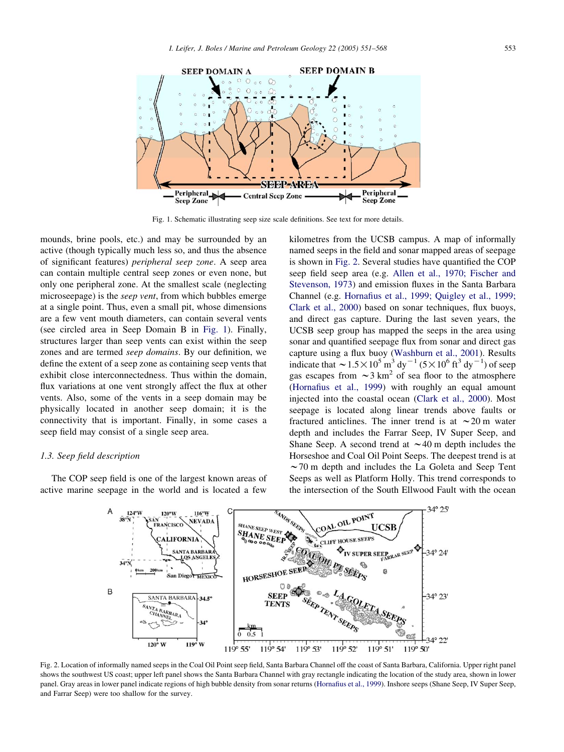<span id="page-2-0"></span>

Fig. 1. Schematic illustrating seep size scale definitions. See text for more details.

mounds, brine pools, etc.) and may be surrounded by an active (though typically much less so, and thus the absence of significant features) peripheral seep zone. A seep area can contain multiple central seep zones or even none, but only one peripheral zone. At the smallest scale (neglecting microseepage) is the seep vent, from which bubbles emerge at a single point. Thus, even a small pit, whose dimensions are a few vent mouth diameters, can contain several vents (see circled area in Seep Domain B in Fig. 1). Finally, structures larger than seep vents can exist within the seep zones and are termed seep domains. By our definition, we define the extent of a seep zone as containing seep vents that exhibit close interconnectedness. Thus within the domain, flux variations at one vent strongly affect the flux at other vents. Also, some of the vents in a seep domain may be physically located in another seep domain; it is the connectivity that is important. Finally, in some cases a seep field may consist of a single seep area.

# 1.3. Seep field description

The COP seep field is one of the largest known areas of active marine seepage in the world and is located a few

kilometres from the UCSB campus. A map of informally named seeps in the field and sonar mapped areas of seepage is shown in Fig. 2. Several studies have quantified the COP seep field seep area (e.g. [Allen et al., 1970; Fischer and](#page-16-0) [Stevenson, 1973](#page-16-0)) and emission fluxes in the Santa Barbara Channel (e.g. [Hornafius et al., 1999; Quigley et al., 1999;](#page-16-0) [Clark et al., 2000](#page-16-0)) based on sonar techniques, flux buoys, and direct gas capture. During the last seven years, the UCSB seep group has mapped the seeps in the area using sonar and quantified seepage flux from sonar and direct gas capture using a flux buoy ([Washburn et al., 2001](#page-17-0)). Results indicate that  $\sim 1.5 \times 10^5 \text{ m}^3 \text{ dy}^{-1} (5 \times 10^6 \text{ ft}^3 \text{ dy}^{-1})$  of seep gas escapes from  $\sim$ 3 km<sup>2</sup> of sea floor to the atmosphere ([Hornafius et al., 1999\)](#page-16-0) with roughly an equal amount injected into the coastal ocean [\(Clark et al., 2000](#page-16-0)). Most seepage is located along linear trends above faults or fractured anticlines. The inner trend is at  $\sim$  20 m water depth and includes the Farrar Seep, IV Super Seep, and Shane Seep. A second trend at  $\sim$  40 m depth includes the Horseshoe and Coal Oil Point Seeps. The deepest trend is at  $\sim$  70 m depth and includes the La Goleta and Seep Tent Seeps as well as Platform Holly. This trend corresponds to the intersection of the South Ellwood Fault with the ocean



Fig. 2. Location of informally named seeps in the Coal Oil Point seep field, Santa Barbara Channel off the coast of Santa Barbara, California. Upper right panel shows the southwest US coast; upper left panel shows the Santa Barbara Channel with gray rectangle indicating the location of the study area, shown in lower panel. Gray areas in lower panel indicate regions of high bubble density from sonar returns [\(Hornafius et al., 1999](#page-16-0)). Inshore seeps (Shane Seep, IV Super Seep, and Farrar Seep) were too shallow for the survey.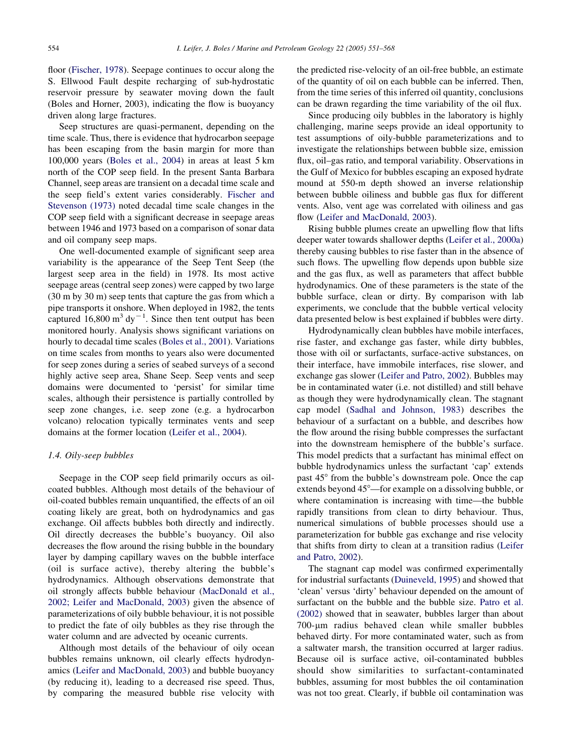floor ([Fischer, 1978](#page-16-0)). Seepage continues to occur along the S. Ellwood Fault despite recharging of sub-hydrostatic reservoir pressure by seawater moving down the fault (Boles and Horner, 2003), indicating the flow is buoyancy driven along large fractures.

Seep structures are quasi-permanent, depending on the time scale. Thus, there is evidence that hydrocarbon seepage has been escaping from the basin margin for more than 100,000 years ([Boles et al., 2004\)](#page-16-0) in areas at least 5 km north of the COP seep field. In the present Santa Barbara Channel, seep areas are transient on a decadal time scale and the seep field's extent varies considerably. [Fischer and](#page-16-0) [Stevenson \(1973\)](#page-16-0) noted decadal time scale changes in the COP seep field with a significant decrease in seepage areas between 1946 and 1973 based on a comparison of sonar data and oil company seep maps.

One well-documented example of significant seep area variability is the appearance of the Seep Tent Seep (the largest seep area in the field) in 1978. Its most active seepage areas (central seep zones) were capped by two large (30 m by 30 m) seep tents that capture the gas from which a pipe transports it onshore. When deployed in 1982, the tents captured  $16,800 \text{ m}^3 \text{ dy}^{-1}$ . Since then tent output has been monitored hourly. Analysis shows significant variations on hourly to decadal time scales [\(Boles et al., 2001](#page-16-0)). Variations on time scales from months to years also were documented for seep zones during a series of seabed surveys of a second highly active seep area, Shane Seep. Seep vents and seep domains were documented to 'persist' for similar time scales, although their persistence is partially controlled by seep zone changes, i.e. seep zone (e.g. a hydrocarbon volcano) relocation typically terminates vents and seep domains at the former location ([Leifer et al., 2004\)](#page-16-0).

# 1.4. Oily-seep bubbles

Seepage in the COP seep field primarily occurs as oilcoated bubbles. Although most details of the behaviour of oil-coated bubbles remain unquantified, the effects of an oil coating likely are great, both on hydrodynamics and gas exchange. Oil affects bubbles both directly and indirectly. Oil directly decreases the bubble's buoyancy. Oil also decreases the flow around the rising bubble in the boundary layer by damping capillary waves on the bubble interface (oil is surface active), thereby altering the bubble's hydrodynamics. Although observations demonstrate that oil strongly affects bubble behaviour ([MacDonald et al.,](#page-16-0) [2002; Leifer and MacDonald, 2003\)](#page-16-0) given the absence of parameterizations of oily bubble behaviour, it is not possible to predict the fate of oily bubbles as they rise through the water column and are advected by oceanic currents.

Although most details of the behaviour of oily ocean bubbles remains unknown, oil clearly effects hydrodynamics [\(Leifer and MacDonald, 2003](#page-16-0)) and bubble buoyancy (by reducing it), leading to a decreased rise speed. Thus, by comparing the measured bubble rise velocity with

the predicted rise-velocity of an oil-free bubble, an estimate of the quantity of oil on each bubble can be inferred. Then, from the time series of this inferred oil quantity, conclusions can be drawn regarding the time variability of the oil flux.

Since producing oily bubbles in the laboratory is highly challenging, marine seeps provide an ideal opportunity to test assumptions of oily-bubble parameterizations and to investigate the relationships between bubble size, emission flux, oil–gas ratio, and temporal variability. Observations in the Gulf of Mexico for bubbles escaping an exposed hydrate mound at 550-m depth showed an inverse relationship between bubble oiliness and bubble gas flux for different vents. Also, vent age was correlated with oiliness and gas flow ([Leifer and MacDonald, 2003](#page-16-0)).

Rising bubble plumes create an upwelling flow that lifts deeper water towards shallower depths [\(Leifer et al., 2000a](#page-16-0)) thereby causing bubbles to rise faster than in the absence of such flows. The upwelling flow depends upon bubble size and the gas flux, as well as parameters that affect bubble hydrodynamics. One of these parameters is the state of the bubble surface, clean or dirty. By comparison with lab experiments, we conclude that the bubble vertical velocity data presented below is best explained if bubbles were dirty.

Hydrodynamically clean bubbles have mobile interfaces, rise faster, and exchange gas faster, while dirty bubbles, those with oil or surfactants, surface-active substances, on their interface, have immobile interfaces, rise slower, and exchange gas slower [\(Leifer and Patro, 2002](#page-16-0)). Bubbles may be in contaminated water (i.e. not distilled) and still behave as though they were hydrodynamically clean. The stagnant cap model [\(Sadhal and Johnson, 1983](#page-17-0)) describes the behaviour of a surfactant on a bubble, and describes how the flow around the rising bubble compresses the surfactant into the downstream hemisphere of the bubble's surface. This model predicts that a surfactant has minimal effect on bubble hydrodynamics unless the surfactant 'cap' extends past 45<sup>°</sup> from the bubble's downstream pole. Once the cap extends beyond 45<sup>°</sup>—for example on a dissolving bubble, or where contamination is increasing with time—the bubble rapidly transitions from clean to dirty behaviour. Thus, numerical simulations of bubble processes should use a parameterization for bubble gas exchange and rise velocity that shifts from dirty to clean at a transition radius [\(Leifer](#page-16-0) [and Patro, 2002\)](#page-16-0).

The stagnant cap model was confirmed experimentally for industrial surfactants [\(Duineveld, 1995\)](#page-16-0) and showed that 'clean' versus 'dirty' behaviour depended on the amount of surfactant on the bubble and the bubble size. [Patro et al.](#page-17-0) [\(2002\)](#page-17-0) showed that in seawater, bubbles larger than about 700-mm radius behaved clean while smaller bubbles behaved dirty. For more contaminated water, such as from a saltwater marsh, the transition occurred at larger radius. Because oil is surface active, oil-contaminated bubbles should show similarities to surfactant-contaminated bubbles, assuming for most bubbles the oil contamination was not too great. Clearly, if bubble oil contamination was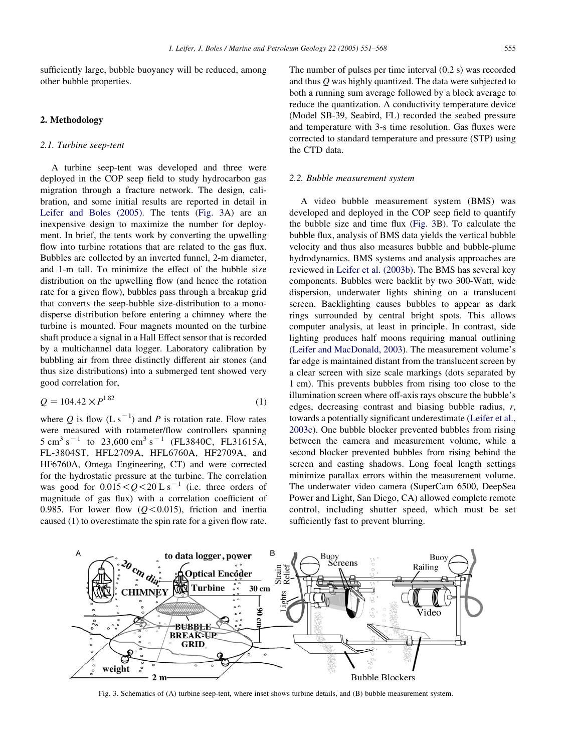sufficiently large, bubble buoyancy will be reduced, among other bubble properties.

# 2. Methodology

# 2.1. Turbine seep-tent

A turbine seep-tent was developed and three were deployed in the COP seep field to study hydrocarbon gas migration through a fracture network. The design, calibration, and some initial results are reported in detail in [Leifer and Boles \(2005\)](#page-16-0). The tents (Fig. 3A) are an inexpensive design to maximize the number for deployment. In brief, the tents work by converting the upwelling flow into turbine rotations that are related to the gas flux. Bubbles are collected by an inverted funnel, 2-m diameter, and 1-m tall. To minimize the effect of the bubble size distribution on the upwelling flow (and hence the rotation rate for a given flow), bubbles pass through a breakup grid that converts the seep-bubble size-distribution to a monodisperse distribution before entering a chimney where the turbine is mounted. Four magnets mounted on the turbine shaft produce a signal in a Hall Effect sensor that is recorded by a multichannel data logger. Laboratory calibration by bubbling air from three distinctly different air stones (and thus size distributions) into a submerged tent showed very good correlation for,

$$
Q = 104.42 \times P^{1.82} \tag{1}
$$

where Q is flow  $(L s^{-1})$  and P is rotation rate. Flow rates were measured with rotameter/flow controllers spanning  $5 \text{ cm}^3 \text{ s}^{-1}$  to 23,600 cm<sup>3</sup> s<sup>-1</sup> (FL3840C, FL31615A, FL-3804ST, HFL2709A, HFL6760A, HF2709A, and HF6760A, Omega Engineering, CT) and were corrected for the hydrostatic pressure at the turbine. The correlation was good for  $0.015 < Q < 20$  L s<sup>-1</sup> (i.e. three orders of magnitude of gas flux) with a correlation coefficient of 0.985. For lower flow  $(Q<0.015)$ , friction and inertia caused (1) to overestimate the spin rate for a given flow rate.

The number of pulses per time interval (0.2 s) was recorded and thus Q was highly quantized. The data were subjected to both a running sum average followed by a block average to reduce the quantization. A conductivity temperature device (Model SB-39, Seabird, FL) recorded the seabed pressure and temperature with 3-s time resolution. Gas fluxes were corrected to standard temperature and pressure (STP) using the CTD data.

#### 2.2. Bubble measurement system

A video bubble measurement system (BMS) was developed and deployed in the COP seep field to quantify the bubble size and time flux (Fig. 3B). To calculate the bubble flux, analysis of BMS data yields the vertical bubble velocity and thus also measures bubble and bubble-plume hydrodynamics. BMS systems and analysis approaches are reviewed in [Leifer et al. \(2003b\)](#page-16-0). The BMS has several key components. Bubbles were backlit by two 300-Watt, wide dispersion, underwater lights shining on a translucent screen. Backlighting causes bubbles to appear as dark rings surrounded by central bright spots. This allows computer analysis, at least in principle. In contrast, side lighting produces half moons requiring manual outlining ([Leifer and MacDonald, 2003](#page-16-0)). The measurement volume's far edge is maintained distant from the translucent screen by a clear screen with size scale markings (dots separated by 1 cm). This prevents bubbles from rising too close to the illumination screen where off-axis rays obscure the bubble's edges, decreasing contrast and biasing bubble radius,  $r$ , towards a potentially significant underestimate [\(Leifer et al.,](#page-16-0) [2003c\)](#page-16-0). One bubble blocker prevented bubbles from rising between the camera and measurement volume, while a second blocker prevented bubbles from rising behind the screen and casting shadows. Long focal length settings minimize parallax errors within the measurement volume. The underwater video camera (SuperCam 6500, DeepSea Power and Light, San Diego, CA) allowed complete remote control, including shutter speed, which must be set sufficiently fast to prevent blurring.



Fig. 3. Schematics of (A) turbine seep-tent, where inset shows turbine details, and (B) bubble measurement system.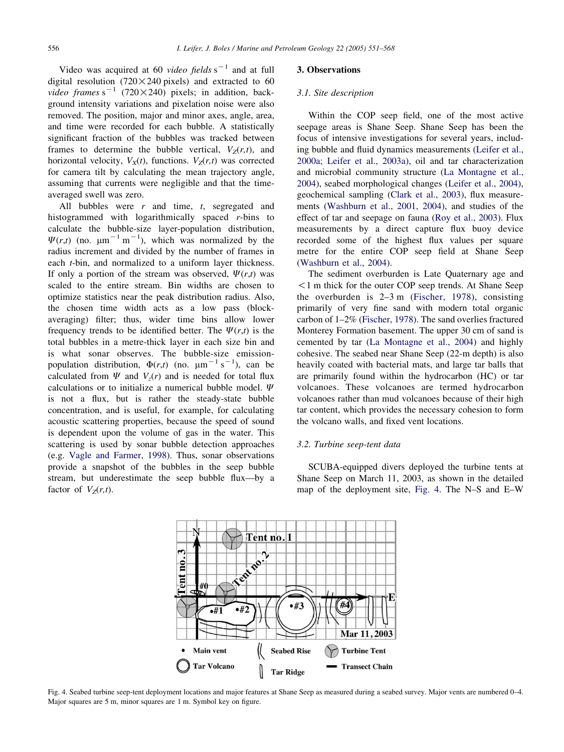<span id="page-5-0"></span>Video was acquired at 60 *video fields*  $s^{-1}$  and at full digital resolution (720 $\times$ 240 pixels) and extracted to 60 video frames  $s^{-1}$  (720×240) pixels; in addition, background intensity variations and pixelation noise were also removed. The position, major and minor axes, angle, area, and time were recorded for each bubble. A statistically significant fraction of the bubbles was tracked between frames to determine the bubble vertical,  $V_Z(r,t)$ , and horizontal velocity,  $V_X(t)$ , functions.  $V_Z(r,t)$  was corrected for camera tilt by calculating the mean trajectory angle, assuming that currents were negligible and that the timeaveraged swell was zero.

All bubbles were  $r$  and time,  $t$ , segregated and histogrammed with logarithmically spaced r-bins to calculate the bubble-size layer-population distribution,  $\Psi(r,t)$  (no.  $\mu$ m<sup>-1</sup> m<sup>-1</sup>), which was normalized by the radius increment and divided by the number of frames in each t-bin, and normalized to a uniform layer thickness. If only a portion of the stream was observed,  $\Psi(r,t)$  was scaled to the entire stream. Bin widths are chosen to optimize statistics near the peak distribution radius. Also, the chosen time width acts as a low pass (blockaveraging) filter; thus, wider time bins allow lower frequency trends to be identified better. The  $\Psi(r,t)$  is the total bubbles in a metre-thick layer in each size bin and is what sonar observes. The bubble-size emissionpopulation distribution,  $\Phi(r,t)$  (no.  $\mu$ m<sup>-1</sup> s<sup>-1</sup>), can be calculated from  $\Psi$  and  $V_z(r)$  and is needed for total flux calculations or to initialize a numerical bubble model.  $\Psi$ is not a flux, but is rather the steady-state bubble concentration, and is useful, for example, for calculating acoustic scattering properties, because the speed of sound is dependent upon the volume of gas in the water. This scattering is used by sonar bubble detection approaches (e.g. [Vagle and Farmer, 1998\)](#page-17-0). Thus, sonar observations provide a snapshot of the bubbles in the seep bubble stream, but underestimate the seep bubble flux—by a factor of  $V_Z(r,t)$ .

# 3. Observations

#### 3.1. Site description

Within the COP seep field, one of the most active seepage areas is Shane Seep. Shane Seep has been the focus of intensive investigations for several years, including bubble and fluid dynamics measurements ([Leifer et al.,](#page-16-0) [2000a; Leifer et al., 2003a](#page-16-0)), oil and tar characterization and microbial community structure ([La Montagne et al.,](#page-16-0) [2004\)](#page-16-0), seabed morphological changes [\(Leifer et al., 2004\)](#page-16-0), geochemical sampling ([Clark et al., 2003\)](#page-16-0), flux measurements [\(Washburn et al., 2001, 2004](#page-17-0)), and studies of the effect of tar and seepage on fauna [\(Roy et al., 2003](#page-17-0)). Flux measurements by a direct capture flux buoy device recorded some of the highest flux values per square metre for the entire COP seep field at Shane Seep ([Washburn et al., 2004](#page-17-0)).

The sediment overburden is Late Quaternary age and  $\leq$  1 m thick for the outer COP seep trends. At Shane Seep the overburden is 2–3 m ([Fischer, 1978\)](#page-16-0), consisting primarily of very fine sand with modern total organic carbon of 1–2% [\(Fischer, 1978](#page-16-0)). The sand overlies fractured Monterey Formation basement. The upper 30 cm of sand is cemented by tar [\(La Montagne et al., 2004\)](#page-16-0) and highly cohesive. The seabed near Shane Seep (22-m depth) is also heavily coated with bacterial mats, and large tar balls that are primarily found within the hydrocarbon (HC) or tar volcanoes. These volcanoes are termed hydrocarbon volcanoes rather than mud volcanoes because of their high tar content, which provides the necessary cohesion to form the volcano walls, and fixed vent locations.

# 3.2. Turbine seep-tent data

SCUBA-equipped divers deployed the turbine tents at Shane Seep on March 11, 2003, as shown in the detailed map of the deployment site, Fig. 4. The N–S and E–W



Fig. 4. Seabed turbine seep-tent deployment locations and major features at Shane Seep as measured during a seabed survey. Major vents are numbered 0–4. Major squares are 5 m, minor squares are 1 m. Symbol key on figure.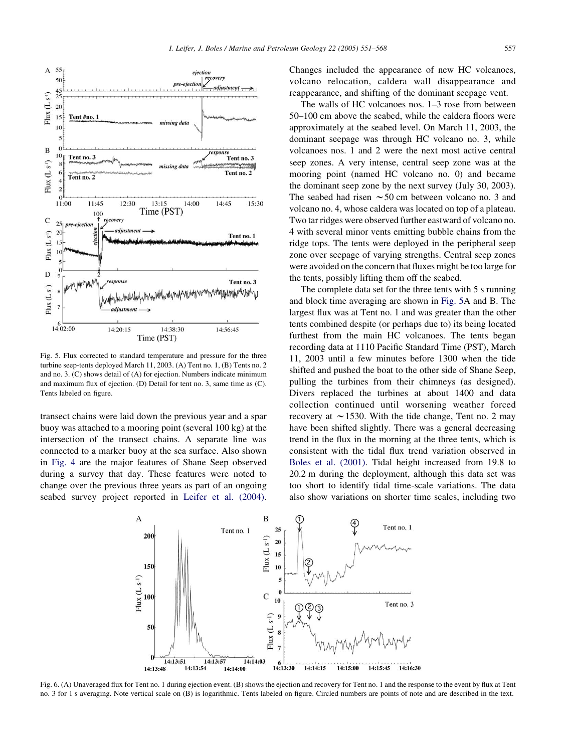<span id="page-6-0"></span>

Fig. 5. Flux corrected to standard temperature and pressure for the three turbine seep-tents deployed March 11, 2003. (A) Tent no. 1, (B) Tents no. 2 and no. 3. (C) shows detail of (A) for ejection. Numbers indicate minimum and maximum flux of ejection. (D) Detail for tent no. 3, same time as (C). Tents labeled on figure.

transect chains were laid down the previous year and a spar buoy was attached to a mooring point (several 100 kg) at the intersection of the transect chains. A separate line was connected to a marker buoy at the sea surface. Also shown in [Fig. 4](#page-5-0) are the major features of Shane Seep observed during a survey that day. These features were noted to change over the previous three years as part of an ongoing seabed survey project reported in [Leifer et al. \(2004\)](#page-16-0).

Changes included the appearance of new HC volcanoes, volcano relocation, caldera wall disappearance and reappearance, and shifting of the dominant seepage vent.

The walls of HC volcanoes nos. 1–3 rose from between 50–100 cm above the seabed, while the caldera floors were approximately at the seabed level. On March 11, 2003, the dominant seepage was through HC volcano no. 3, while volcanoes nos. 1 and 2 were the next most active central seep zones. A very intense, central seep zone was at the mooring point (named HC volcano no. 0) and became the dominant seep zone by the next survey (July 30, 2003). The seabed had risen  $\sim$  50 cm between volcano no. 3 and volcano no. 4, whose caldera was located on top of a plateau. Two tar ridges were observed further eastward of volcano no. 4 with several minor vents emitting bubble chains from the ridge tops. The tents were deployed in the peripheral seep zone over seepage of varying strengths. Central seep zones were avoided on the concern that fluxes might be too large for the tents, possibly lifting them off the seabed.

The complete data set for the three tents with 5 s running and block time averaging are shown in Fig. 5A and B. The largest flux was at Tent no. 1 and was greater than the other tents combined despite (or perhaps due to) its being located furthest from the main HC volcanoes. The tents began recording data at 1110 Pacific Standard Time (PST), March 11, 2003 until a few minutes before 1300 when the tide shifted and pushed the boat to the other side of Shane Seep, pulling the turbines from their chimneys (as designed). Divers replaced the turbines at about 1400 and data collection continued until worsening weather forced recovery at  $\sim$  1530. With the tide change, Tent no. 2 may have been shifted slightly. There was a general decreasing trend in the flux in the morning at the three tents, which is consistent with the tidal flux trend variation observed in [Boles et al. \(2001\).](#page-16-0) Tidal height increased from 19.8 to 20.2 m during the deployment, although this data set was too short to identify tidal time-scale variations. The data also show variations on shorter time scales, including two



Fig. 6. (A) Unaveraged flux for Tent no. 1 during ejection event. (B) shows the ejection and recovery for Tent no. 1 and the response to the event by flux at Tent no. 3 for 1 s averaging. Note vertical scale on (B) is logarithmic. Tents labeled on figure. Circled numbers are points of note and are described in the text.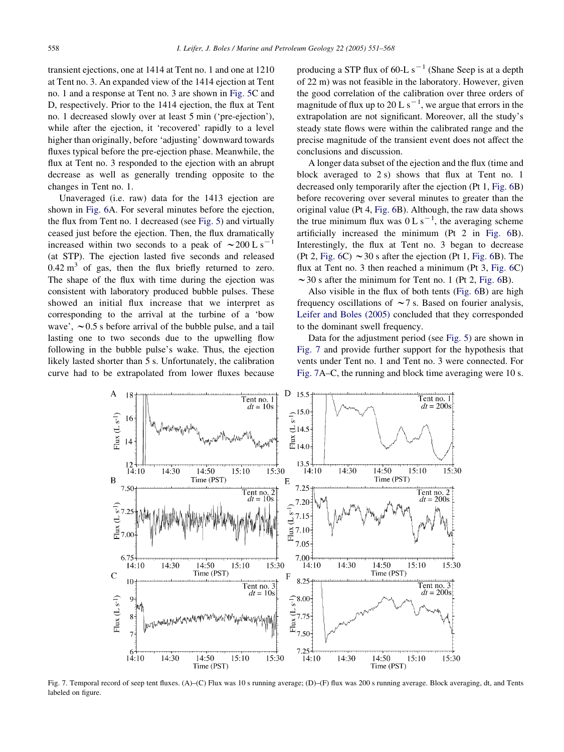<span id="page-7-0"></span>transient ejections, one at 1414 at Tent no. 1 and one at 1210 at Tent no. 3. An expanded view of the 1414 ejection at Tent no. 1 and a response at Tent no. 3 are shown in [Fig. 5](#page-6-0)C and D, respectively. Prior to the 1414 ejection, the flux at Tent no. 1 decreased slowly over at least 5 min ('pre-ejection'), while after the ejection, it 'recovered' rapidly to a level higher than originally, before 'adjusting' downward towards fluxes typical before the pre-ejection phase. Meanwhile, the flux at Tent no. 3 responded to the ejection with an abrupt decrease as well as generally trending opposite to the changes in Tent no. 1.

Unaveraged (i.e. raw) data for the 1413 ejection are shown in [Fig. 6A](#page-6-0). For several minutes before the ejection, the flux from Tent no. 1 decreased (see [Fig. 5\)](#page-6-0) and virtually ceased just before the ejection. Then, the flux dramatically increased within two seconds to a peak of  $\sim 200 \text{ L s}^{-1}$ (at STP). The ejection lasted five seconds and released  $0.42 \text{ m}^3$  of gas, then the flux briefly returned to zero. The shape of the flux with time during the ejection was consistent with laboratory produced bubble pulses. These showed an initial flux increase that we interpret as corresponding to the arrival at the turbine of a 'bow wave',  $\sim 0.5$  s before arrival of the bubble pulse, and a tail lasting one to two seconds due to the upwelling flow following in the bubble pulse's wake. Thus, the ejection likely lasted shorter than 5 s. Unfortunately, the calibration curve had to be extrapolated from lower fluxes because producing a STP flux of  $60-L s^{-1}$  (Shane Seep is at a depth of 22 m) was not feasible in the laboratory. However, given the good correlation of the calibration over three orders of magnitude of flux up to 20 L s<sup>-1</sup>, we argue that errors in the extrapolation are not significant. Moreover, all the study's steady state flows were within the calibrated range and the precise magnitude of the transient event does not affect the conclusions and discussion.

A longer data subset of the ejection and the flux (time and block averaged to 2 s) shows that flux at Tent no. 1 decreased only temporarily after the ejection (Pt 1, [Fig. 6B](#page-6-0)) before recovering over several minutes to greater than the original value (Pt 4, [Fig. 6B](#page-6-0)). Although, the raw data shows the true minimum flux was  $0 L s^{-1}$ , the averaging scheme artificially increased the minimum (Pt 2 in [Fig. 6](#page-6-0)B). Interestingly, the flux at Tent no. 3 began to decrease (Pt 2, [Fig. 6C](#page-6-0))  $\sim$  30 s after the ejection (Pt 1, [Fig. 6B](#page-6-0)). The flux at Tent no. 3 then reached a minimum (Pt 3, [Fig. 6C](#page-6-0))  $\sim$  30 s after the minimum for Tent no. 1 (Pt 2, [Fig. 6B](#page-6-0)).

Also visible in the flux of both tents ([Fig. 6](#page-6-0)B) are high frequency oscillations of  $\sim$  7 s. Based on fourier analysis, [Leifer and Boles \(2005\)](#page-16-0) concluded that they corresponded to the dominant swell frequency.

Data for the adjustment period (see [Fig. 5\)](#page-6-0) are shown in Fig. 7 and provide further support for the hypothesis that vents under Tent no. 1 and Tent no. 3 were connected. For Fig. 7A–C, the running and block time averaging were 10 s.



Fig. 7. Temporal record of seep tent fluxes. (A)–(C) Flux was 10 s running average; (D)–(F) flux was 200 s running average. Block averaging, dt, and Tents labeled on figure.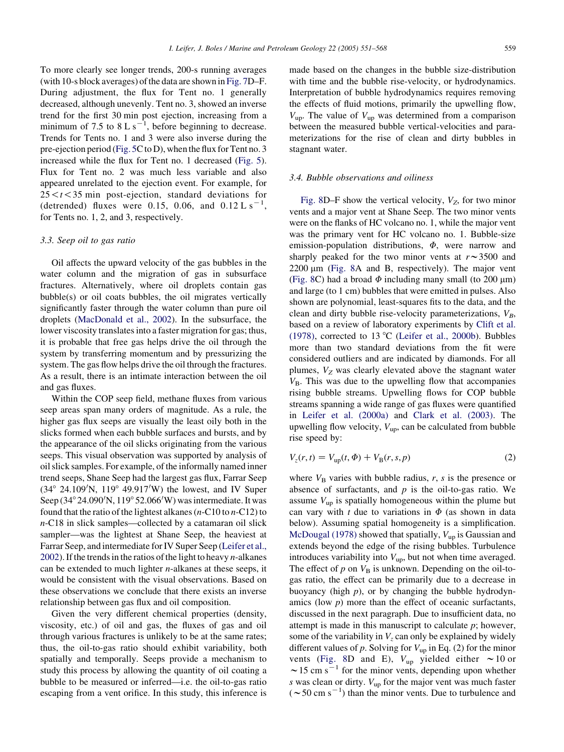To more clearly see longer trends, 200-s running averages (with 10-s block averages) of the data are shown in [Fig. 7](#page-7-0)D–F. During adjustment, the flux for Tent no. 1 generally decreased, although unevenly. Tent no. 3, showed an inverse trend for the first 30 min post ejection, increasing from a minimum of 7.5 to 8 L s<sup>-1</sup>, before beginning to decrease. Trends for Tents no. 1 and 3 were also inverse during the pre-ejection period [\(Fig. 5](#page-6-0)C to D), when the flux for Tent no. 3 increased while the flux for Tent no. 1 decreased ([Fig. 5\)](#page-6-0). Flux for Tent no. 2 was much less variable and also appeared unrelated to the ejection event. For example, for  $25 \lt t \lt 35$  min post-ejection, standard deviations for (detrended) fluxes were 0.15, 0.06, and  $0.12 \text{ L s}^{-1}$ , for Tents no. 1, 2, and 3, respectively.

# 3.3. Seep oil to gas ratio

Oil affects the upward velocity of the gas bubbles in the water column and the migration of gas in subsurface fractures. Alternatively, where oil droplets contain gas bubble(s) or oil coats bubbles, the oil migrates vertically significantly faster through the water column than pure oil droplets [\(MacDonald et al., 2002](#page-16-0)). In the subsurface, the lower viscosity translates into a faster migration for gas; thus, it is probable that free gas helps drive the oil through the system by transferring momentum and by pressurizing the system. The gas flow helps drive the oil through the fractures. As a result, there is an intimate interaction between the oil and gas fluxes.

Within the COP seep field, methane fluxes from various seep areas span many orders of magnitude. As a rule, the higher gas flux seeps are visually the least oily both in the slicks formed when each bubble surfaces and bursts, and by the appearance of the oil slicks originating from the various seeps. This visual observation was supported by analysis of oil slick samples. For example, of the informally named inner trend seeps, Shane Seep had the largest gas flux, Farrar Seep (34° 24.109'N, 119° 49.917'W) the lowest, and IV Super Seep (34° 24.090'N, 119° 52.066'W) was intermediate. It was found that the ratio of the lightest alkanes ( $n$ -C10 to  $n$ -C12) to n-C18 in slick samples—collected by a catamaran oil slick sampler—was the lightest at Shane Seep, the heaviest at Farrar Seep, and intermediate for IV Super Seep [\(Leifer et al.,](#page-16-0) [2002](#page-16-0)). If the trends in the ratios of the light to heavy  $n$ -alkanes can be extended to much lighter n-alkanes at these seeps, it would be consistent with the visual observations. Based on these observations we conclude that there exists an inverse relationship between gas flux and oil composition.

Given the very different chemical properties (density, viscosity, etc.) of oil and gas, the fluxes of gas and oil through various fractures is unlikely to be at the same rates; thus, the oil-to-gas ratio should exhibit variability, both spatially and temporally. Seeps provide a mechanism to study this process by allowing the quantity of oil coating a bubble to be measured or inferred—i.e. the oil-to-gas ratio escaping from a vent orifice. In this study, this inference is

made based on the changes in the bubble size-distribution with time and the bubble rise-velocity, or hydrodynamics. Interpretation of bubble hydrodynamics requires removing the effects of fluid motions, primarily the upwelling flow,  $V_{\text{up}}$ . The value of  $V_{\text{up}}$  was determined from a comparison between the measured bubble vertical-velocities and parameterizations for the rise of clean and dirty bubbles in stagnant water.

#### 3.4. Bubble observations and oiliness

[Fig. 8](#page-9-0)D–F show the vertical velocity,  $V_z$ , for two minor vents and a major vent at Shane Seep. The two minor vents were on the flanks of HC volcano no. 1, while the major vent was the primary vent for HC volcano no. 1. Bubble-size emission-population distributions,  $\Phi$ , were narrow and sharply peaked for the two minor vents at  $r \sim 3500$  and  $2200 \mu m$  [\(Fig. 8A](#page-9-0) and B, respectively). The major vent ([Fig. 8C](#page-9-0)) had a broad  $\Phi$  including many small (to 200  $\mu$ m) and large (to 1 cm) bubbles that were emitted in pulses. Also shown are polynomial, least-squares fits to the data, and the clean and dirty bubble rise-velocity parameterizations,  $V_B$ , based on a review of laboratory experiments by [Clift et al.](#page-16-0) [\(1978\)](#page-16-0), corrected to 13 °C [\(Leifer et al., 2000b](#page-16-0)). Bubbles more than two standard deviations from the fit were considered outliers and are indicated by diamonds. For all plumes,  $V_Z$  was clearly elevated above the stagnant water  $V_{\rm B}$ . This was due to the upwelling flow that accompanies rising bubble streams. Upwelling flows for COP bubble streams spanning a wide range of gas fluxes were quantified in [Leifer et al. \(2000a\)](#page-16-0) and [Clark et al. \(2003\).](#page-16-0) The upwelling flow velocity,  $V_{\text{up}}$ , can be calculated from bubble rise speed by:

$$
V_z(r, t) = V_{\text{up}}(t, \Phi) + V_{\text{B}}(r, s, p)
$$
 (2)

where  $V_{\rm B}$  varies with bubble radius, r, s is the presence or absence of surfactants, and  $p$  is the oil-to-gas ratio. We assume  $V_{\text{un}}$  is spatially homogeneous within the plume but can vary with  $t$  due to variations in  $\Phi$  (as shown in data below). Assuming spatial homogeneity is a simplification. [McDougal \(1978\)](#page-17-0) showed that spatially,  $V_{\text{un}}$  is Gaussian and extends beyond the edge of the rising bubbles. Turbulence introduces variability into  $V_{\text{up}}$ , but not when time averaged. The effect of p on  $V_B$  is unknown. Depending on the oil-togas ratio, the effect can be primarily due to a decrease in buoyancy (high  $p$ ), or by changing the bubble hydrodynamics (low  $p$ ) more than the effect of oceanic surfactants, discussed in the next paragraph. Due to insufficient data, no attempt is made in this manuscript to calculate  $p$ ; however, some of the variability in  $V_z$  can only be explained by widely different values of p. Solving for  $V_{\text{un}}$  in Eq. (2) for the minor vents ([Fig. 8](#page-9-0)D and E),  $V_{\text{up}}$  yielded either ~10 or  $\sim$  15 cm s<sup>-1</sup> for the minor vents, depending upon whether s was clean or dirty.  $V_{\text{up}}$  for the major vent was much faster  $({\sim}50 \text{ cm s}^{-1})$  than the minor vents. Due to turbulence and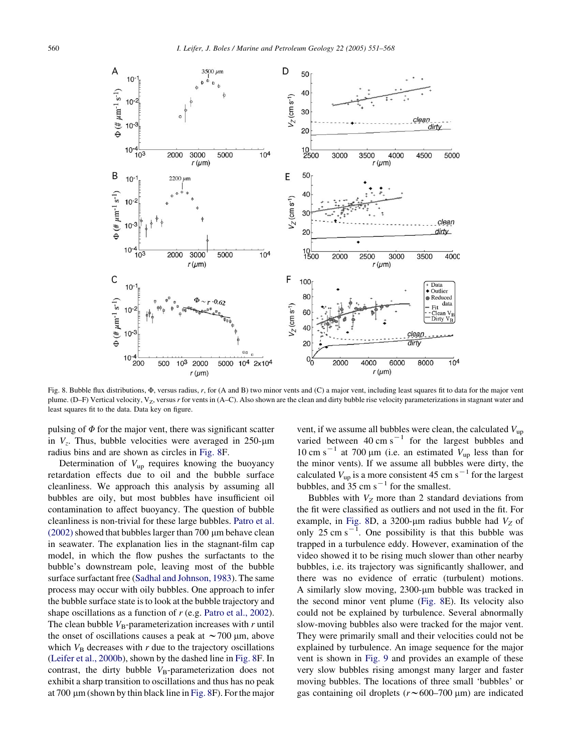<span id="page-9-0"></span>

Fig. 8. Bubble flux distributions,  $\Phi$ , versus radius, r, for (A and B) two minor vents and (C) a major vent, including least squares fit to data for the major vent plume. (D–F) Vertical velocity,  $V_z$ , versus r for vents in (A–C). Also shown are the clean and dirty bubble rise velocity parameterizations in stagnant water and least squares fit to the data. Data key on figure.

pulsing of  $\Phi$  for the major vent, there was significant scatter in  $V_z$ . Thus, bubble velocities were averaged in 250-µm radius bins and are shown as circles in Fig. 8F.

Determination of  $V_{\text{up}}$  requires knowing the buoyancy retardation effects due to oil and the bubble surface cleanliness. We approach this analysis by assuming all bubbles are oily, but most bubbles have insufficient oil contamination to affect buoyancy. The question of bubble cleanliness is non-trivial for these large bubbles. [Patro et al.](#page-17-0) [\(2002\)](#page-17-0) showed that bubbles larger than 700  $\mu$ m behave clean in seawater. The explanation lies in the stagnant-film cap model, in which the flow pushes the surfactants to the bubble's downstream pole, leaving most of the bubble surface surfactant free ([Sadhal and Johnson, 1983\)](#page-17-0). The same process may occur with oily bubbles. One approach to infer the bubble surface state is to look at the bubble trajectory and shape oscillations as a function of r (e.g. [Patro et al., 2002\)](#page-17-0). The clean bubble  $V_B$ -parameterization increases with  $r$  until the onset of oscillations causes a peak at  $\sim$  700 µm, above which  $V_{\rm B}$  decreases with r due to the trajectory oscillations ([Leifer et al., 2000b](#page-16-0)), shown by the dashed line in Fig. 8F. In contrast, the dirty bubble  $V_{\rm B}$ -parameterization does not exhibit a sharp transition to oscillations and thus has no peak at  $700 \mu m$  (shown by thin black line in Fig. 8F). For the major

vent, if we assume all bubbles were clean, the calculated  $V_{up}$ varied between  $40 \text{ cm s}^{-1}$  for the largest bubbles and 10 cm s<sup>-1</sup> at 700 µm (i.e. an estimated  $V_{\text{up}}$  less than for the minor vents). If we assume all bubbles were dirty, the calculated  $V_{\text{un}}$  is a more consistent 45 cm s<sup>-1</sup> for the largest bubbles, and  $35 \text{ cm s}^{-1}$  for the smallest.

Bubbles with  $V<sub>z</sub>$  more than 2 standard deviations from the fit were classified as outliers and not used in the fit. For example, in Fig. 8D, a 3200-µm radius bubble had  $V_Z$  of only  $25 \text{ cm s}^{-1}$ . One possibility is that this bubble was trapped in a turbulence eddy. However, examination of the video showed it to be rising much slower than other nearby bubbles, i.e. its trajectory was significantly shallower, and there was no evidence of erratic (turbulent) motions. A similarly slow moving, 2300-um bubble was tracked in the second minor vent plume (Fig. 8E). Its velocity also could not be explained by turbulence. Several abnormally slow-moving bubbles also were tracked for the major vent. They were primarily small and their velocities could not be explained by turbulence. An image sequence for the major vent is shown in [Fig. 9](#page-10-0) and provides an example of these very slow bubbles rising amongst many larger and faster moving bubbles. The locations of three small 'bubbles' or gas containing oil droplets ( $r \sim 600-700 \text{ }\mu\text{m}$ ) are indicated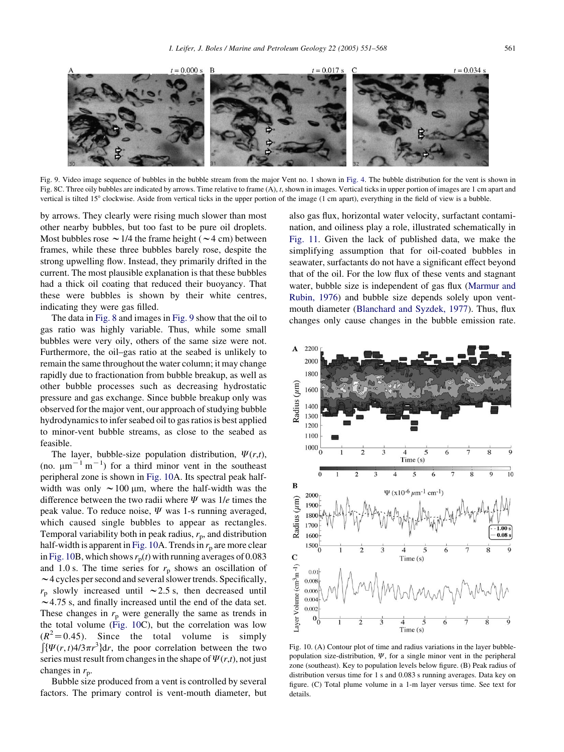<span id="page-10-0"></span>

Fig. 9. Video image sequence of bubbles in the bubble stream from the major Vent no. 1 shown in [Fig. 4.](#page-5-0) The bubble distribution for the vent is shown in Fig. 8C. Three oily bubbles are indicated by arrows. Time relative to frame (A), t, shown in images. Vertical ticks in upper portion of images are 1 cm apart and vertical is tilted 15° clockwise. Aside from vertical ticks in the upper portion of the image (1 cm apart), everything in the field of view is a bubble.

by arrows. They clearly were rising much slower than most other nearby bubbles, but too fast to be pure oil droplets. Most bubbles rose  $\sim$  1/4 the frame height ( $\sim$  4 cm) between frames, while these three bubbles barely rose, despite the strong upwelling flow. Instead, they primarily drifted in the current. The most plausible explanation is that these bubbles had a thick oil coating that reduced their buoyancy. That these were bubbles is shown by their white centres, indicating they were gas filled.

The data in [Fig. 8](#page-9-0) and images in Fig. 9 show that the oil to gas ratio was highly variable. Thus, while some small bubbles were very oily, others of the same size were not. Furthermore, the oil–gas ratio at the seabed is unlikely to remain the same throughout the water column; it may change rapidly due to fractionation from bubble breakup, as well as other bubble processes such as decreasing hydrostatic pressure and gas exchange. Since bubble breakup only was observed for the major vent, our approach of studying bubble hydrodynamics to infer seabed oil to gas ratios is best applied to minor-vent bubble streams, as close to the seabed as feasible.

The layer, bubble-size population distribution,  $\Psi(r,t)$ , (no.  $\mu$ m<sup>-1</sup> m<sup>-1</sup>) for a third minor vent in the southeast peripheral zone is shown in Fig. 10A. Its spectral peak halfwidth was only  $\sim 100$  um, where the half-width was the difference between the two radii where  $\Psi$  was 1/e times the peak value. To reduce noise,  $\Psi$  was 1-s running averaged, which caused single bubbles to appear as rectangles. Temporal variability both in peak radius,  $r_p$ , and distribution half-width is apparent in Fig. 10A. Trends in  $r<sub>p</sub>$  are more clear in Fig. 10B, which shows  $r_p(t)$  with running averages of 0.083 and 1.0 s. The time series for  $r_p$  shows an oscillation of  $\sim$  4 cycles per second and several slower trends. Specifically,  $r_p$  slowly increased until  $\sim$  2.5 s, then decreased until  $\sim$  4.75 s, and finally increased until the end of the data set. These changes in  $r_p$  were generally the same as trends in the total volume (Fig. 10C), but the correlation was low  $(R<sup>2</sup>=0.45)$ . Since the total volume is simply  $\int {\{\Psi(r, t)4/3\pi r^3\}dr}$ , the poor correlation between the two series must result from changes in the shape of  $\Psi(r,t)$ , not just changes in  $r_p$ .

Bubble size produced from a vent is controlled by several factors. The primary control is vent-mouth diameter, but also gas flux, horizontal water velocity, surfactant contamination, and oiliness play a role, illustrated schematically in [Fig. 11.](#page-11-0) Given the lack of published data, we make the simplifying assumption that for oil-coated bubbles in seawater, surfactants do not have a significant effect beyond that of the oil. For the low flux of these vents and stagnant water, bubble size is independent of gas flux [\(Marmur and](#page-17-0) [Rubin, 1976\)](#page-17-0) and bubble size depends solely upon ventmouth diameter [\(Blanchard and Syzdek, 1977](#page-16-0)). Thus, flux changes only cause changes in the bubble emission rate.



Fig. 10. (A) Contour plot of time and radius variations in the layer bubblepopulation size-distribution,  $\Psi$ , for a single minor vent in the peripheral zone (southeast). Key to population levels below figure. (B) Peak radius of distribution versus time for 1 s and 0.083 s running averages. Data key on figure. (C) Total plume volume in a 1-m layer versus time. See text for details.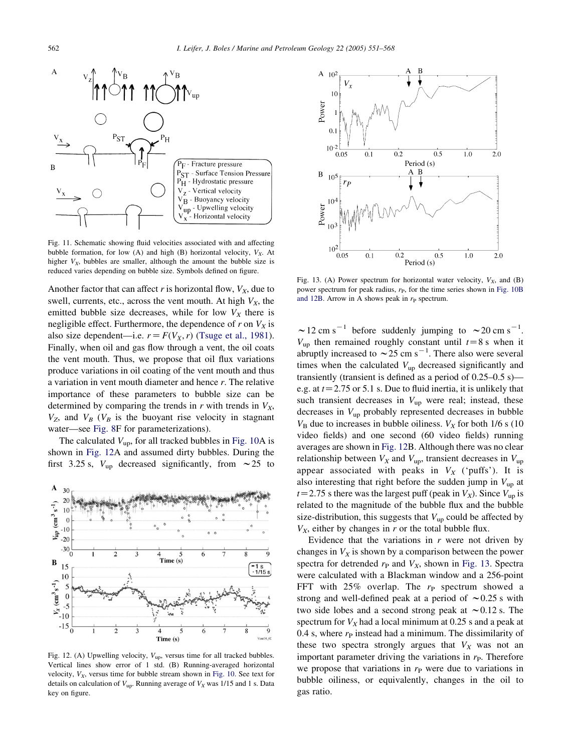<span id="page-11-0"></span>

Fig. 11. Schematic showing fluid velocities associated with and affecting bubble formation, for low (A) and high (B) horizontal velocity,  $V_X$ . At higher  $V_X$ , bubbles are smaller, although the amount the bubble size is reduced varies depending on bubble size. Symbols defined on figure.

Another factor that can affect r is horizontal flow,  $V_X$ , due to swell, currents, etc., across the vent mouth. At high  $V_X$ , the emitted bubble size decreases, while for low  $V_X$  there is negligible effect. Furthermore, the dependence of  $r$  on  $V_X$  is also size dependent—i.e.  $r = F(V_X, r)$  [\(Tsuge et al., 1981\)](#page-17-0). Finally, when oil and gas flow through a vent, the oil coats the vent mouth. Thus, we propose that oil flux variations produce variations in oil coating of the vent mouth and thus a variation in vent mouth diameter and hence r. The relative importance of these parameters to bubble size can be determined by comparing the trends in r with trends in  $V_X$ ,  $V_Z$ , and  $V_B$  ( $V_B$  is the buoyant rise velocity in stagnant water—see [Fig. 8](#page-9-0)F for parameterizations).

The calculated  $V_{\text{up}}$ , for all tracked bubbles in [Fig. 10](#page-10-0)A is shown in Fig. 12A and assumed dirty bubbles. During the first 3.25 s,  $V_{\text{un}}$  decreased significantly, from  $\sim$  25 to



Fig. 12. (A) Upwelling velocity,  $V_{\text{up}}$ , versus time for all tracked bubbles. Vertical lines show error of 1 std. (B) Running-averaged horizontal velocity,  $V_{\rm Y}$ , versus time for bubble stream shown in [Fig. 10.](#page-10-0) See text for details on calculation of  $V_{\text{un}}$ . Running average of  $V_X$  was 1/15 and 1 s. Data key on figure.



Fig. 13. (A) Power spectrum for horizontal water velocity,  $V_X$ , and (B) power spectrum for peak radius,  $r_{\rm P}$ , for the time series shown in Fig. 10B and 12B. Arrow in A shows peak in  $r_{\rm P}$  spectrum.

 $\sim$  12 cm s<sup>-1</sup> before suddenly jumping to  $\sim$  20 cm s<sup>-1</sup>.  $V_{\text{un}}$  then remained roughly constant until  $t=8$  s when it abruptly increased to  $\sim$  25 cm s<sup>-1</sup>. There also were several times when the calculated  $V_{\text{up}}$  decreased significantly and transiently (transient is defined as a period of 0.25–0.5 s) e.g. at  $t=2.75$  or 5.1 s. Due to fluid inertia, it is unlikely that such transient decreases in  $V_{\text{up}}$  were real; instead, these decreases in  $V_{\text{un}}$  probably represented decreases in bubble  $V_{\rm B}$  due to increases in bubble oiliness.  $V_{\rm X}$  for both 1/6 s (10 video fields) and one second (60 video fields) running averages are shown in Fig. 12B. Although there was no clear relationship between  $V_X$  and  $V_{\text{up}}$ , transient decreases in  $V_{\text{up}}$ appear associated with peaks in  $V_X$  ('puffs'). It is also interesting that right before the sudden jump in  $V_{up}$  at  $t=2.75$  s there was the largest puff (peak in  $V_X$ ). Since  $V_{up}$  is related to the magnitude of the bubble flux and the bubble size-distribution, this suggests that  $V_{\text{up}}$  could be affected by  $V_X$ , either by changes in r or the total bubble flux.

Evidence that the variations in  $r$  were not driven by changes in  $V_X$  is shown by a comparison between the power spectra for detrended  $r<sub>P</sub>$  and  $V<sub>X</sub>$ , shown in Fig. 13. Spectra were calculated with a Blackman window and a 256-point FFT with 25% overlap. The  $r_{\rm P}$  spectrum showed a strong and well-defined peak at a period of  $\sim 0.25$  s with two side lobes and a second strong peak at  $\sim 0.12$  s. The spectrum for  $V_X$  had a local minimum at 0.25 s and a peak at 0.4 s, where  $r_{\rm P}$  instead had a minimum. The dissimilarity of these two spectra strongly argues that  $V_X$  was not an important parameter driving the variations in  $r<sub>P</sub>$ . Therefore we propose that variations in  $r<sub>P</sub>$  were due to variations in bubble oiliness, or equivalently, changes in the oil to gas ratio.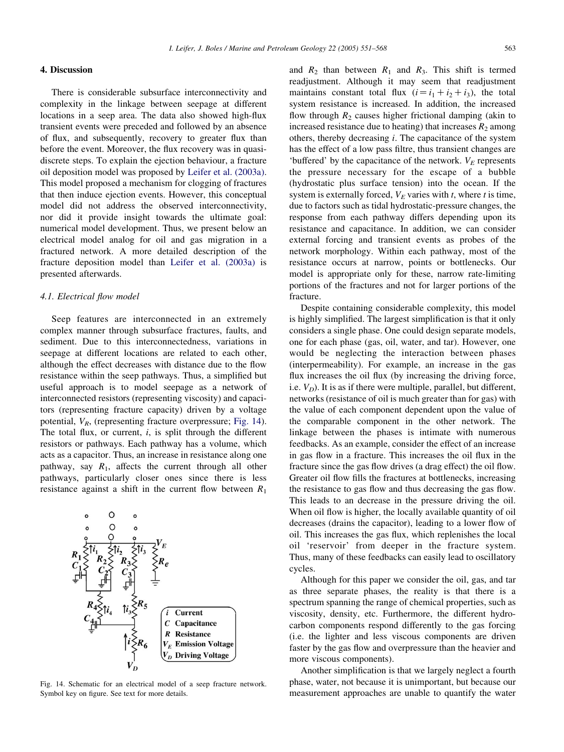# 4. Discussion

There is considerable subsurface interconnectivity and complexity in the linkage between seepage at different locations in a seep area. The data also showed high-flux transient events were preceded and followed by an absence of flux, and subsequently, recovery to greater flux than before the event. Moreover, the flux recovery was in quasidiscrete steps. To explain the ejection behaviour, a fracture oil deposition model was proposed by [Leifer et al. \(2003a\)](#page-16-0). This model proposed a mechanism for clogging of fractures that then induce ejection events. However, this conceptual model did not address the observed interconnectivity, nor did it provide insight towards the ultimate goal: numerical model development. Thus, we present below an electrical model analog for oil and gas migration in a fractured network. A more detailed description of the fracture deposition model than [Leifer et al. \(2003a\)](#page-16-0) is presented afterwards.

## 4.1. Electrical flow model

Seep features are interconnected in an extremely complex manner through subsurface fractures, faults, and sediment. Due to this interconnectedness, variations in seepage at different locations are related to each other, although the effect decreases with distance due to the flow resistance within the seep pathways. Thus, a simplified but useful approach is to model seepage as a network of interconnected resistors (representing viscosity) and capacitors (representing fracture capacity) driven by a voltage potential,  $V_R$ , (representing fracture overpressure; Fig. 14). The total flux, or current,  $i$ , is split through the different resistors or pathways. Each pathway has a volume, which acts as a capacitor. Thus, an increase in resistance along one pathway, say  $R_1$ , affects the current through all other pathways, particularly closer ones since there is less resistance against a shift in the current flow between  $R_1$ 



Fig. 14. Schematic for an electrical model of a seep fracture network. Symbol key on figure. See text for more details.

and  $R_2$  than between  $R_1$  and  $R_3$ . This shift is termed readjustment. Although it may seem that readjustment maintains constant total flux  $(i=i_1+i_2+i_3)$ , the total system resistance is increased. In addition, the increased flow through  $R_2$  causes higher frictional damping (akin to increased resistance due to heating) that increases  $R_2$  among others, thereby decreasing  $i$ . The capacitance of the system has the effect of a low pass filtre, thus transient changes are 'buffered' by the capacitance of the network.  $V_E$  represents the pressure necessary for the escape of a bubble (hydrostatic plus surface tension) into the ocean. If the system is externally forced,  $V_F$  varies with t, where t is time, due to factors such as tidal hydrostatic-pressure changes, the response from each pathway differs depending upon its resistance and capacitance. In addition, we can consider external forcing and transient events as probes of the network morphology. Within each pathway, most of the resistance occurs at narrow, points or bottlenecks. Our model is appropriate only for these, narrow rate-limiting portions of the fractures and not for larger portions of the fracture.

Despite containing considerable complexity, this model is highly simplified. The largest simplification is that it only considers a single phase. One could design separate models, one for each phase (gas, oil, water, and tar). However, one would be neglecting the interaction between phases (interpermeability). For example, an increase in the gas flux increases the oil flux (by increasing the driving force, i.e.  $V_D$ ). It is as if there were multiple, parallel, but different, networks (resistance of oil is much greater than for gas) with the value of each component dependent upon the value of the comparable component in the other network. The linkage between the phases is intimate with numerous feedbacks. As an example, consider the effect of an increase in gas flow in a fracture. This increases the oil flux in the fracture since the gas flow drives (a drag effect) the oil flow. Greater oil flow fills the fractures at bottlenecks, increasing the resistance to gas flow and thus decreasing the gas flow. This leads to an decrease in the pressure driving the oil. When oil flow is higher, the locally available quantity of oil decreases (drains the capacitor), leading to a lower flow of oil. This increases the gas flux, which replenishes the local oil 'reservoir' from deeper in the fracture system. Thus, many of these feedbacks can easily lead to oscillatory cycles.

Although for this paper we consider the oil, gas, and tar as three separate phases, the reality is that there is a spectrum spanning the range of chemical properties, such as viscosity, density, etc. Furthermore, the different hydrocarbon components respond differently to the gas forcing (i.e. the lighter and less viscous components are driven faster by the gas flow and overpressure than the heavier and more viscous components).

Another simplification is that we largely neglect a fourth phase, water, not because it is unimportant, but because our measurement approaches are unable to quantify the water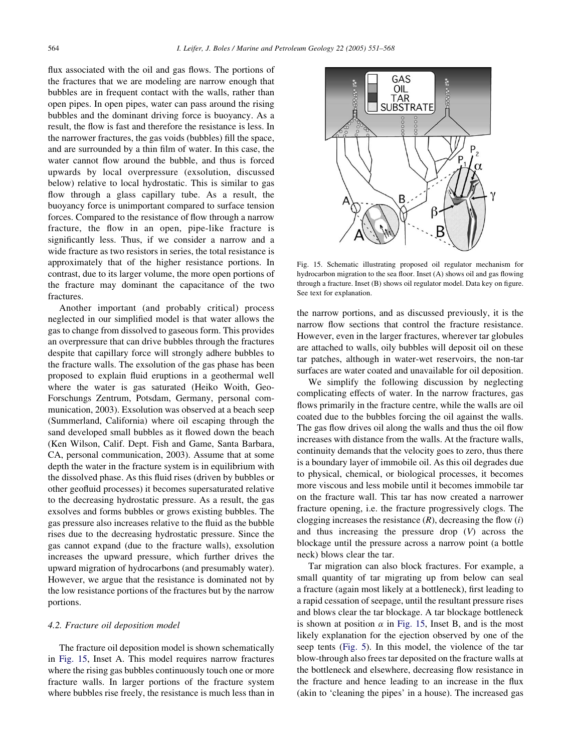<span id="page-13-0"></span>flux associated with the oil and gas flows. The portions of the fractures that we are modeling are narrow enough that bubbles are in frequent contact with the walls, rather than open pipes. In open pipes, water can pass around the rising bubbles and the dominant driving force is buoyancy. As a result, the flow is fast and therefore the resistance is less. In the narrower fractures, the gas voids (bubbles) fill the space, and are surrounded by a thin film of water. In this case, the water cannot flow around the bubble, and thus is forced upwards by local overpressure (exsolution, discussed below) relative to local hydrostatic. This is similar to gas flow through a glass capillary tube. As a result, the buoyancy force is unimportant compared to surface tension forces. Compared to the resistance of flow through a narrow fracture, the flow in an open, pipe-like fracture is significantly less. Thus, if we consider a narrow and a wide fracture as two resistors in series, the total resistance is approximately that of the higher resistance portions. In contrast, due to its larger volume, the more open portions of the fracture may dominant the capacitance of the two fractures.

Another important (and probably critical) process neglected in our simplified model is that water allows the gas to change from dissolved to gaseous form. This provides an overpressure that can drive bubbles through the fractures despite that capillary force will strongly adhere bubbles to the fracture walls. The exsolution of the gas phase has been proposed to explain fluid eruptions in a geothermal well where the water is gas saturated (Heiko Woith, Geo-Forschungs Zentrum, Potsdam, Germany, personal communication, 2003). Exsolution was observed at a beach seep (Summerland, California) where oil escaping through the sand developed small bubbles as it flowed down the beach (Ken Wilson, Calif. Dept. Fish and Game, Santa Barbara, CA, personal communication, 2003). Assume that at some depth the water in the fracture system is in equilibrium with the dissolved phase. As this fluid rises (driven by bubbles or other geofluid processes) it becomes supersaturated relative to the decreasing hydrostatic pressure. As a result, the gas exsolves and forms bubbles or grows existing bubbles. The gas pressure also increases relative to the fluid as the bubble rises due to the decreasing hydrostatic pressure. Since the gas cannot expand (due to the fracture walls), exsolution increases the upward pressure, which further drives the upward migration of hydrocarbons (and presumably water). However, we argue that the resistance is dominated not by the low resistance portions of the fractures but by the narrow portions.

#### 4.2. Fracture oil deposition model

The fracture oil deposition model is shown schematically in Fig. 15, Inset A. This model requires narrow fractures where the rising gas bubbles continuously touch one or more fracture walls. In larger portions of the fracture system where bubbles rise freely, the resistance is much less than in



Fig. 15. Schematic illustrating proposed oil regulator mechanism for hydrocarbon migration to the sea floor. Inset (A) shows oil and gas flowing through a fracture. Inset (B) shows oil regulator model. Data key on figure. See text for explanation.

the narrow portions, and as discussed previously, it is the narrow flow sections that control the fracture resistance. However, even in the larger fractures, wherever tar globules are attached to walls, oily bubbles will deposit oil on these tar patches, although in water-wet reservoirs, the non-tar surfaces are water coated and unavailable for oil deposition.

We simplify the following discussion by neglecting complicating effects of water. In the narrow fractures, gas flows primarily in the fracture centre, while the walls are oil coated due to the bubbles forcing the oil against the walls. The gas flow drives oil along the walls and thus the oil flow increases with distance from the walls. At the fracture walls, continuity demands that the velocity goes to zero, thus there is a boundary layer of immobile oil. As this oil degrades due to physical, chemical, or biological processes, it becomes more viscous and less mobile until it becomes immobile tar on the fracture wall. This tar has now created a narrower fracture opening, i.e. the fracture progressively clogs. The clogging increases the resistance  $(R)$ , decreasing the flow  $(i)$ and thus increasing the pressure drop (V) across the blockage until the pressure across a narrow point (a bottle neck) blows clear the tar.

Tar migration can also block fractures. For example, a small quantity of tar migrating up from below can seal a fracture (again most likely at a bottleneck), first leading to a rapid cessation of seepage, until the resultant pressure rises and blows clear the tar blockage. A tar blockage bottleneck is shown at position  $\alpha$  in Fig. 15, Inset B, and is the most likely explanation for the ejection observed by one of the seep tents ([Fig. 5\)](#page-6-0). In this model, the violence of the tar blow-through also frees tar deposited on the fracture walls at the bottleneck and elsewhere, decreasing flow resistance in the fracture and hence leading to an increase in the flux (akin to 'cleaning the pipes' in a house). The increased gas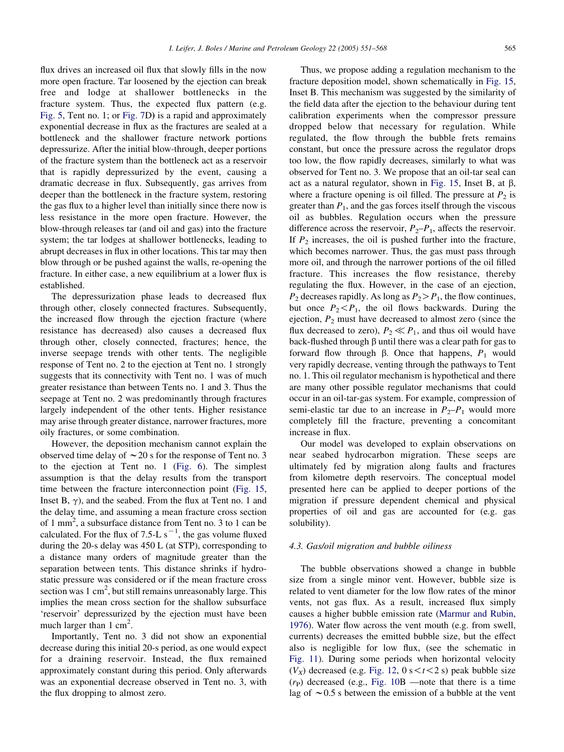flux drives an increased oil flux that slowly fills in the now more open fracture. Tar loosened by the ejection can break free and lodge at shallower bottlenecks in the fracture system. Thus, the expected flux pattern (e.g. [Fig. 5](#page-6-0), Tent no. 1; or [Fig. 7](#page-7-0)D) is a rapid and approximately exponential decrease in flux as the fractures are sealed at a bottleneck and the shallower fracture network portions depressurize. After the initial blow-through, deeper portions of the fracture system than the bottleneck act as a reservoir that is rapidly depressurized by the event, causing a dramatic decrease in flux. Subsequently, gas arrives from deeper than the bottleneck in the fracture system, restoring the gas flux to a higher level than initially since there now is less resistance in the more open fracture. However, the blow-through releases tar (and oil and gas) into the fracture system; the tar lodges at shallower bottlenecks, leading to abrupt decreases in flux in other locations. This tar may then blow through or be pushed against the walls, re-opening the fracture. In either case, a new equilibrium at a lower flux is established.

The depressurization phase leads to decreased flux through other, closely connected fractures. Subsequently, the increased flow through the ejection fracture (where resistance has decreased) also causes a decreased flux through other, closely connected, fractures; hence, the inverse seepage trends with other tents. The negligible response of Tent no. 2 to the ejection at Tent no. 1 strongly suggests that its connectivity with Tent no. 1 was of much greater resistance than between Tents no. 1 and 3. Thus the seepage at Tent no. 2 was predominantly through fractures largely independent of the other tents. Higher resistance may arise through greater distance, narrower fractures, more oily fractures, or some combination.

However, the deposition mechanism cannot explain the observed time delay of  $\sim$  20 s for the response of Tent no. 3 to the ejection at Tent no. 1 [\(Fig. 6\)](#page-6-0). The simplest assumption is that the delay results from the transport time between the fracture interconnection point [\(Fig. 15](#page-13-0), Inset B,  $\gamma$ ), and the seabed. From the flux at Tent no. 1 and the delay time, and assuming a mean fracture cross section of 1 mm<sup>2</sup>, a subsurface distance from Tent no. 3 to 1 can be calculated. For the flux of 7.5-L  $s^{-1}$ , the gas volume fluxed during the 20-s delay was 450 L (at STP), corresponding to a distance many orders of magnitude greater than the separation between tents. This distance shrinks if hydrostatic pressure was considered or if the mean fracture cross section was  $1 \text{ cm}^2$ , but still remains unreasonably large. This implies the mean cross section for the shallow subsurface 'reservoir' depressurized by the ejection must have been much larger than  $1 \text{ cm}^2$ .

Importantly, Tent no. 3 did not show an exponential decrease during this initial 20-s period, as one would expect for a draining reservoir. Instead, the flux remained approximately constant during this period. Only afterwards was an exponential decrease observed in Tent no. 3, with the flux dropping to almost zero.

Thus, we propose adding a regulation mechanism to the fracture deposition model, shown schematically in [Fig. 15](#page-13-0), Inset B. This mechanism was suggested by the similarity of the field data after the ejection to the behaviour during tent calibration experiments when the compressor pressure dropped below that necessary for regulation. While regulated, the flow through the bubble frets remains constant, but once the pressure across the regulator drops too low, the flow rapidly decreases, similarly to what was observed for Tent no. 3. We propose that an oil-tar seal can act as a natural regulator, shown in [Fig. 15](#page-13-0), Inset B, at  $\beta$ , where a fracture opening is oil filled. The pressure at  $P_2$  is greater than  $P_1$ , and the gas forces itself through the viscous oil as bubbles. Regulation occurs when the pressure difference across the reservoir,  $P_2-P_1$ , affects the reservoir. If  $P_2$  increases, the oil is pushed further into the fracture, which becomes narrower. Thus, the gas must pass through more oil, and through the narrower portions of the oil filled fracture. This increases the flow resistance, thereby regulating the flux. However, in the case of an ejection,  $P_2$  decreases rapidly. As long as  $P_2 > P_1$ , the flow continues, but once  $P_2 < P_1$ , the oil flows backwards. During the ejection,  $P_2$  must have decreased to almost zero (since the flux decreased to zero),  $P_2 \ll P_1$ , and thus oil would have back-flushed through  $\beta$  until there was a clear path for gas to forward flow through  $\beta$ . Once that happens,  $P_1$  would very rapidly decrease, venting through the pathways to Tent no. 1. This oil regulator mechanism is hypothetical and there are many other possible regulator mechanisms that could occur in an oil-tar-gas system. For example, compression of semi-elastic tar due to an increase in  $P_2-P_1$  would more completely fill the fracture, preventing a concomitant increase in flux.

Our model was developed to explain observations on near seabed hydrocarbon migration. These seeps are ultimately fed by migration along faults and fractures from kilometre depth reservoirs. The conceptual model presented here can be applied to deeper portions of the migration if pressure dependent chemical and physical properties of oil and gas are accounted for (e.g. gas solubility).

#### 4.3. Gas/oil migration and bubble oiliness

The bubble observations showed a change in bubble size from a single minor vent. However, bubble size is related to vent diameter for the low flow rates of the minor vents, not gas flux. As a result, increased flux simply causes a higher bubble emission rate ([Marmur and Rubin,](#page-17-0) [1976](#page-17-0)). Water flow across the vent mouth (e.g. from swell, currents) decreases the emitted bubble size, but the effect also is negligible for low flux, (see the schematic in [Fig. 11](#page-11-0)). During some periods when horizontal velocity  $(V_X)$  decreased (e.g. [Fig. 12,](#page-11-0) 0 s <  $t$  < 2 s) peak bubble size  $(r_P)$  decreased (e.g., [Fig. 10](#page-10-0)B —note that there is a time lag of  $\sim$  0.5 s between the emission of a bubble at the vent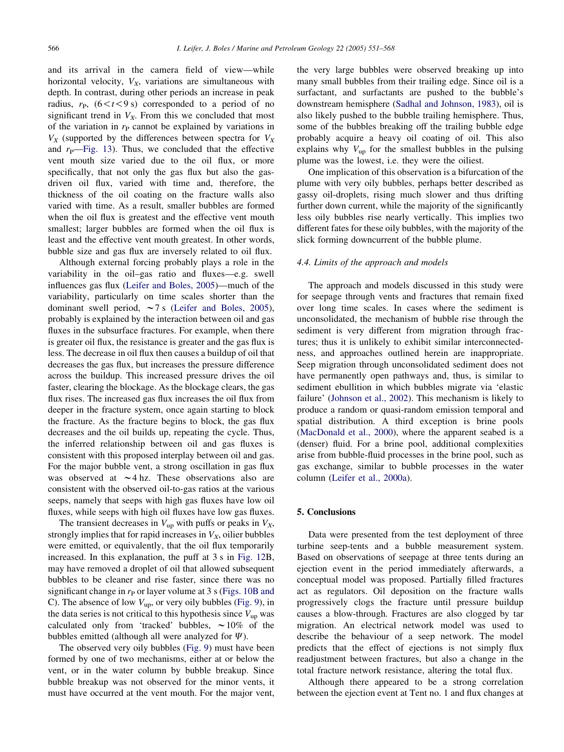and its arrival in the camera field of view—while horizontal velocity,  $V_X$ , variations are simultaneous with depth. In contrast, during other periods an increase in peak radius,  $r_{\text{P}}$ ,  $(6 \lt t \lt 9 \text{ s})$  corresponded to a period of no significant trend in  $V_X$ . From this we concluded that most of the variation in  $r<sub>P</sub>$  cannot be explained by variations in  $V_X$  (supported by the differences between spectra for  $V_X$ and  $r_{\rm P}$ —[Fig. 13](#page-11-0)). Thus, we concluded that the effective vent mouth size varied due to the oil flux, or more specifically, that not only the gas flux but also the gasdriven oil flux, varied with time and, therefore, the thickness of the oil coating on the fracture walls also varied with time. As a result, smaller bubbles are formed when the oil flux is greatest and the effective vent mouth smallest; larger bubbles are formed when the oil flux is least and the effective vent mouth greatest. In other words, bubble size and gas flux are inversely related to oil flux.

Although external forcing probably plays a role in the variability in the oil–gas ratio and fluxes—e.g. swell influences gas flux [\(Leifer and Boles, 2005](#page-16-0))—much of the variability, particularly on time scales shorter than the dominant swell period,  $\sim$  7 s ([Leifer and Boles, 2005\)](#page-16-0), probably is explained by the interaction between oil and gas fluxes in the subsurface fractures. For example, when there is greater oil flux, the resistance is greater and the gas flux is less. The decrease in oil flux then causes a buildup of oil that decreases the gas flux, but increases the pressure difference across the buildup. This increased pressure drives the oil faster, clearing the blockage. As the blockage clears, the gas flux rises. The increased gas flux increases the oil flux from deeper in the fracture system, once again starting to block the fracture. As the fracture begins to block, the gas flux decreases and the oil builds up, repeating the cycle. Thus, the inferred relationship between oil and gas fluxes is consistent with this proposed interplay between oil and gas. For the major bubble vent, a strong oscillation in gas flux was observed at  $\sim$  4 hz. These observations also are consistent with the observed oil-to-gas ratios at the various seeps, namely that seeps with high gas fluxes have low oil fluxes, while seeps with high oil fluxes have low gas fluxes.

The transient decreases in  $V_{\text{up}}$  with puffs or peaks in  $V_X$ , strongly implies that for rapid increases in  $V_X$ , oilier bubbles were emitted, or equivalently, that the oil flux temporarily increased. In this explanation, the puff at 3 s in [Fig. 12B](#page-11-0), may have removed a droplet of oil that allowed subsequent bubbles to be cleaner and rise faster, since there was no significant change in  $r<sub>P</sub>$  or layer volume at 3 s ([Figs. 10B and](#page-10-0) C). The absence of low  $V_{\text{up}}$ , or very oily bubbles [\(Fig. 9\)](#page-10-0), in the data series is not critical to this hypothesis since  $V_{\text{un}}$  was calculated only from 'tracked' bubbles,  $\sim 10\%$  of the bubbles emitted (although all were analyzed for  $\Psi$ ).

The observed very oily bubbles ([Fig. 9](#page-10-0)) must have been formed by one of two mechanisms, either at or below the vent, or in the water column by bubble breakup. Since bubble breakup was not observed for the minor vents, it must have occurred at the vent mouth. For the major vent, the very large bubbles were observed breaking up into many small bubbles from their trailing edge. Since oil is a surfactant, and surfactants are pushed to the bubble's downstream hemisphere ([Sadhal and Johnson, 1983\)](#page-17-0), oil is also likely pushed to the bubble trailing hemisphere. Thus, some of the bubbles breaking off the trailing bubble edge probably acquire a heavy oil coating of oil. This also explains why  $V_{up}$  for the smallest bubbles in the pulsing plume was the lowest, i.e. they were the oiliest.

One implication of this observation is a bifurcation of the plume with very oily bubbles, perhaps better described as gassy oil-droplets, rising much slower and thus drifting further down current, while the majority of the significantly less oily bubbles rise nearly vertically. This implies two different fates for these oily bubbles, with the majority of the slick forming downcurrent of the bubble plume.

# 4.4. Limits of the approach and models

The approach and models discussed in this study were for seepage through vents and fractures that remain fixed over long time scales. In cases where the sediment is unconsolidated, the mechanism of bubble rise through the sediment is very different from migration through fractures; thus it is unlikely to exhibit similar interconnectedness, and approaches outlined herein are inappropriate. Seep migration through unconsolidated sediment does not have permanently open pathways and, thus, is similar to sediment ebullition in which bubbles migrate via 'elastic failure' ([Johnson et al., 2002\)](#page-16-0). This mechanism is likely to produce a random or quasi-random emission temporal and spatial distribution. A third exception is brine pools ([MacDonald et al., 2000\)](#page-16-0), where the apparent seabed is a (denser) fluid. For a brine pool, additional complexities arise from bubble-fluid processes in the brine pool, such as gas exchange, similar to bubble processes in the water column ([Leifer et al., 2000a\)](#page-16-0).

# 5. Conclusions

Data were presented from the test deployment of three turbine seep-tents and a bubble measurement system. Based on observations of seepage at three tents during an ejection event in the period immediately afterwards, a conceptual model was proposed. Partially filled fractures act as regulators. Oil deposition on the fracture walls progressively clogs the fracture until pressure buildup causes a blow-through. Fractures are also clogged by tar migration. An electrical network model was used to describe the behaviour of a seep network. The model predicts that the effect of ejections is not simply flux readjustment between fractures, but also a change in the total fracture network resistance, altering the total flux.

Although there appeared to be a strong correlation between the ejection event at Tent no. 1 and flux changes at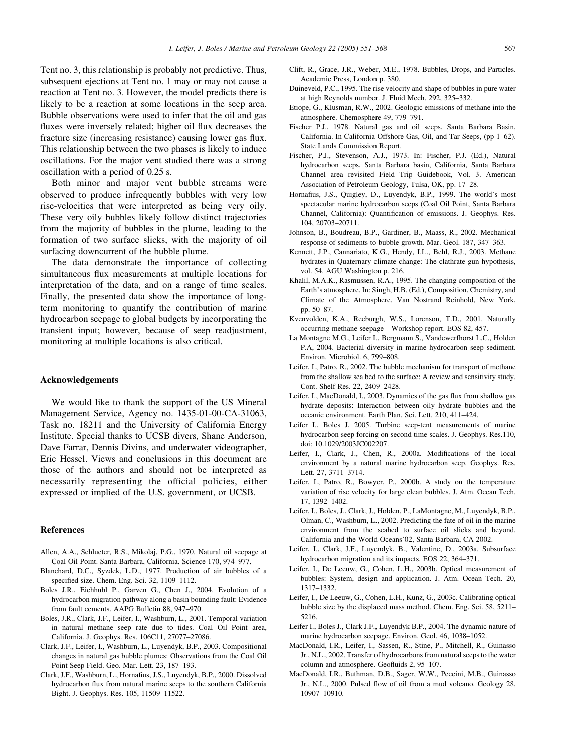<span id="page-16-0"></span>Tent no. 3, this relationship is probably not predictive. Thus, subsequent ejections at Tent no. 1 may or may not cause a reaction at Tent no. 3. However, the model predicts there is likely to be a reaction at some locations in the seep area. Bubble observations were used to infer that the oil and gas fluxes were inversely related; higher oil flux decreases the fracture size (increasing resistance) causing lower gas flux. This relationship between the two phases is likely to induce oscillations. For the major vent studied there was a strong oscillation with a period of 0.25 s.

Both minor and major vent bubble streams were observed to produce infrequently bubbles with very low rise-velocities that were interpreted as being very oily. These very oily bubbles likely follow distinct trajectories from the majority of bubbles in the plume, leading to the formation of two surface slicks, with the majority of oil surfacing downcurrent of the bubble plume.

The data demonstrate the importance of collecting simultaneous flux measurements at multiple locations for interpretation of the data, and on a range of time scales. Finally, the presented data show the importance of longterm monitoring to quantify the contribution of marine hydrocarbon seepage to global budgets by incorporating the transient input; however, because of seep readjustment, monitoring at multiple locations is also critical.

# Acknowledgements

We would like to thank the support of the US Mineral Management Service, Agency no. 1435-01-00-CA-31063, Task no. 18211 and the University of California Energy Institute. Special thanks to UCSB divers, Shane Anderson, Dave Farrar, Dennis Divins, and underwater videographer, Eric Hessel. Views and conclusions in this document are those of the authors and should not be interpreted as necessarily representing the official policies, either expressed or implied of the U.S. government, or UCSB.

# References

- Allen, A.A., Schlueter, R.S., Mikolaj, P.G., 1970. Natural oil seepage at Coal Oil Point. Santa Barbara, California. Science 170, 974–977.
- Blanchard, D.C., Syzdek, L.D., 1977. Production of air bubbles of a specified size. Chem. Eng. Sci. 32, 1109–1112.
- Boles J.R., Eichhubl P., Garven G., Chen J., 2004. Evolution of a hydrocarbon migration pathway along a basin bounding fault: Evidence from fault cements. AAPG Bulletin 88, 947–970.
- Boles, J.R., Clark, J.F., Leifer, I., Washburn, L., 2001. Temporal variation in natural methane seep rate due to tides. Coal Oil Point area, California. J. Geophys. Res. 106C11, 27077–27086.
- Clark, J.F., Leifer, I., Washburn, L., Luyendyk, B.P., 2003. Compositional changes in natural gas bubble plumes: Observations from the Coal Oil Point Seep Field. Geo. Mar. Lett. 23, 187–193.
- Clark, J.F., Washburn, L., Hornafius, J.S., Luyendyk, B.P., 2000. Dissolved hydrocarbon flux from natural marine seeps to the southern California Bight. J. Geophys. Res. 105, 11509–11522.
- Clift, R., Grace, J.R., Weber, M.E., 1978. Bubbles, Drops, and Particles. Academic Press, London p. 380.
- Duineveld, P.C., 1995. The rise velocity and shape of bubbles in pure water at high Reynolds number. J. Fluid Mech. 292, 325–332.
- Etiope, G., Klusman, R.W., 2002. Geologic emissions of methane into the atmosphere. Chemosphere 49, 779–791.
- Fischer P.J., 1978. Natural gas and oil seeps, Santa Barbara Basin, California. In California Offshore Gas, Oil, and Tar Seeps, (pp 1–62). State Lands Commission Report.
- Fischer, P.J., Stevenson, A.J., 1973. In: Fischer, P.J. (Ed.), Natural hydrocarbon seeps, Santa Barbara basin, California, Santa Barbara Channel area revisited Field Trip Guidebook, Vol. 3. American Association of Petroleum Geology, Tulsa, OK, pp. 17–28.
- Hornafius, J.S., Quigley, D., Luyendyk, B.P., 1999. The world's most spectacular marine hydrocarbon seeps (Coal Oil Point, Santa Barbara Channel, California): Quantification of emissions. J. Geophys. Res. 104, 20703–20711.
- Johnson, B., Boudreau, B.P., Gardiner, B., Maass, R., 2002. Mechanical response of sediments to bubble growth. Mar. Geol. 187, 347–363.
- Kennett, J.P., Cannariato, K.G., Hendy, I.L., Behl, R.J., 2003. Methane hydrates in Quaternary climate change: The clathrate gun hypothesis, vol. 54. AGU Washington p. 216.
- Khalil, M.A.K., Rasmussen, R.A., 1995. The changing composition of the Earth's atmosphere. In: Singh, H.B. (Ed.), Composition, Chemistry, and Climate of the Atmosphere. Van Nostrand Reinhold, New York, pp. 50–87.
- Kvenvolden, K.A., Reeburgh, W.S., Lorenson, T.D., 2001. Naturally occurring methane seepage—Workshop report. EOS 82, 457.
- La Montagne M.G., Leifer I., Bergmann S., Vandewerfhorst L.C., Holden P.A, 2004. Bacterial diversity in marine hydrocarbon seep sediment. Environ. Microbiol. 6, 799–808.
- Leifer, I., Patro, R., 2002. The bubble mechanism for transport of methane from the shallow sea bed to the surface: A review and sensitivity study. Cont. Shelf Res. 22, 2409–2428.
- Leifer, I., MacDonald, I., 2003. Dynamics of the gas flux from shallow gas hydrate deposits: Interaction between oily hydrate bubbles and the oceanic environment. Earth Plan. Sci. Lett. 210, 411–424.
- Leifer I., Boles J, 2005. Turbine seep-tent measurements of marine hydrocarbon seep forcing on second time scales. J. Geophys. Res.110, doi: 10.1029/2003JC002207.
- Leifer, I., Clark, J., Chen, R., 2000a. Modifications of the local environment by a natural marine hydrocarbon seep. Geophys. Res. Lett. 27, 3711–3714.
- Leifer, I., Patro, R., Bowyer, P., 2000b. A study on the temperature variation of rise velocity for large clean bubbles. J. Atm. Ocean Tech. 17, 1392–1402.
- Leifer, I., Boles, J., Clark, J., Holden, P., LaMontagne, M., Luyendyk, B.P., Olman, C., Washburn, L., 2002. Predicting the fate of oil in the marine environment from the seabed to surface oil slicks and beyond. California and the World Oceans'02, Santa Barbara, CA 2002.
- Leifer, I., Clark, J.F., Luyendyk, B., Valentine, D., 2003a. Subsurface hydrocarbon migration and its impacts. EOS 22, 364–371.
- Leifer, I., De Leeuw, G., Cohen, L.H., 2003b. Optical measurement of bubbles: System, design and application. J. Atm. Ocean Tech. 20, 1317–1332.
- Leifer, I., De Leeuw, G., Cohen, L.H., Kunz, G., 2003c. Calibrating optical bubble size by the displaced mass method. Chem. Eng. Sci. 58, 5211– 5216.
- Leifer I., Boles J., Clark J.F., Luyendyk B.P., 2004. The dynamic nature of marine hydrocarbon seepage. Environ. Geol. 46, 1038–1052.
- MacDonald, I.R., Leifer, I., Sassen, R., Stine, P., Mitchell, R., Guinasso Jr., N.L., 2002. Transfer of hydrocarbons from natural seeps to the water column and atmosphere. Geofluids 2, 95–107.
- MacDonald, I.R., Buthman, D.B., Sager, W.W., Peccini, M.B., Guinasso Jr., N.L., 2000. Pulsed flow of oil from a mud volcano. Geology 28, 10907–10910.